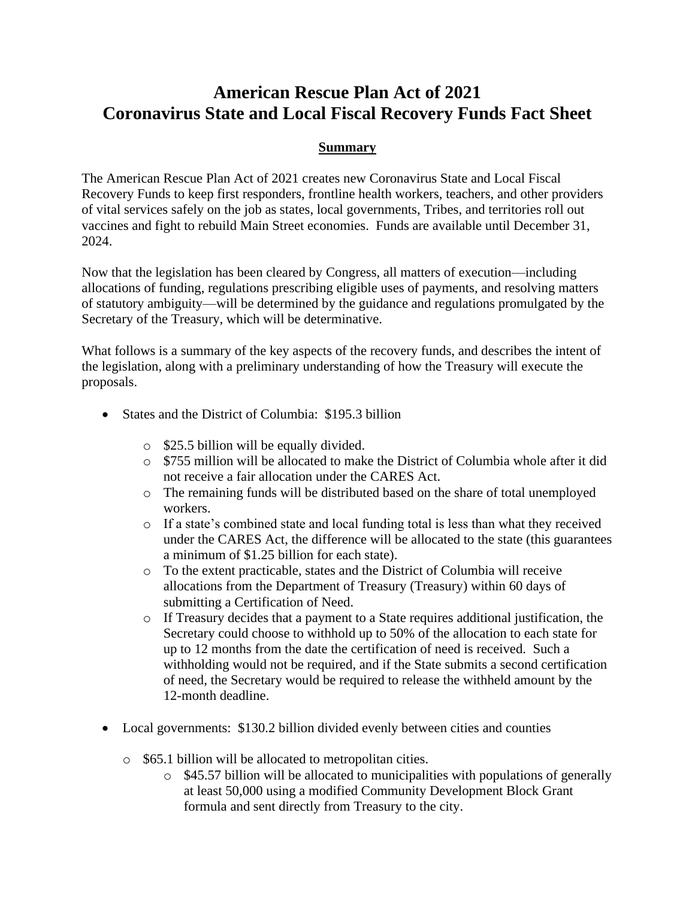# **American Rescue Plan Act of 2021 Coronavirus State and Local Fiscal Recovery Funds Fact Sheet**

#### **Summary**

The American Rescue Plan Act of 2021 creates new Coronavirus State and Local Fiscal Recovery Funds to keep first responders, frontline health workers, teachers, and other providers of vital services safely on the job as states, local governments, Tribes, and territories roll out vaccines and fight to rebuild Main Street economies. Funds are available until December 31, 2024.

Now that the legislation has been cleared by Congress, all matters of execution—including allocations of funding, regulations prescribing eligible uses of payments, and resolving matters of statutory ambiguity—will be determined by the guidance and regulations promulgated by the Secretary of the Treasury, which will be determinative.

What follows is a summary of the key aspects of the recovery funds, and describes the intent of the legislation, along with a preliminary understanding of how the Treasury will execute the proposals.

- States and the District of Columbia: \$195.3 billion
	- o \$25.5 billion will be equally divided.
	- o \$755 million will be allocated to make the District of Columbia whole after it did not receive a fair allocation under the CARES Act.
	- o The remaining funds will be distributed based on the share of total unemployed workers.
	- o If a state's combined state and local funding total is less than what they received under the CARES Act, the difference will be allocated to the state (this guarantees a minimum of \$1.25 billion for each state).
	- o To the extent practicable, states and the District of Columbia will receive allocations from the Department of Treasury (Treasury) within 60 days of submitting a Certification of Need.
	- o If Treasury decides that a payment to a State requires additional justification, the Secretary could choose to withhold up to 50% of the allocation to each state for up to 12 months from the date the certification of need is received. Such a withholding would not be required, and if the State submits a second certification of need, the Secretary would be required to release the withheld amount by the 12-month deadline.
- Local governments: \$130.2 billion divided evenly between cities and counties
	- o \$65.1 billion will be allocated to metropolitan cities.
		- o \$45.57 billion will be allocated to municipalities with populations of generally at least 50,000 using a modified Community Development Block Grant formula and sent directly from Treasury to the city.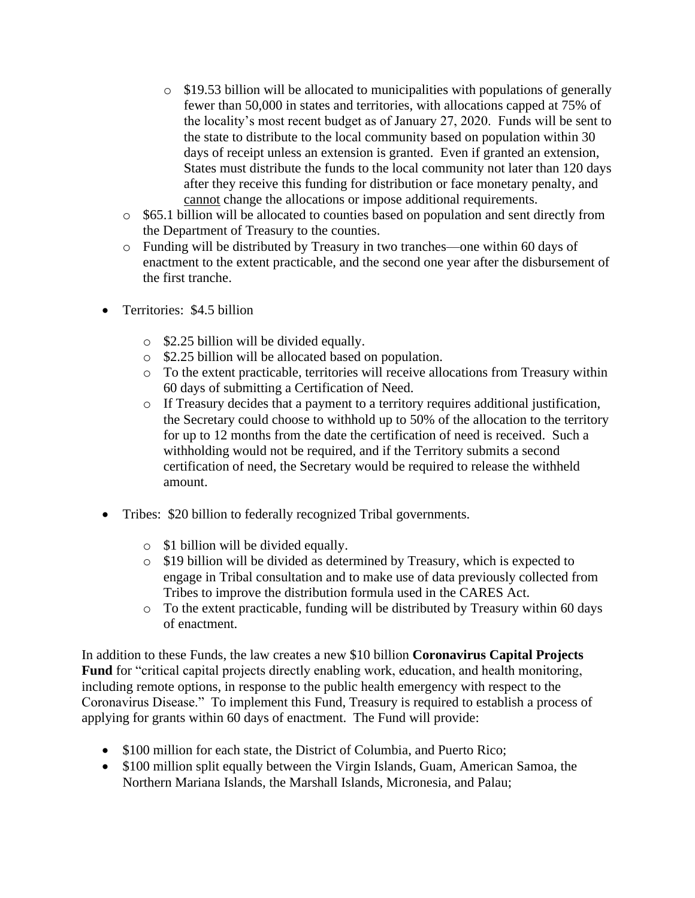- o \$19.53 billion will be allocated to municipalities with populations of generally fewer than 50,000 in states and territories, with allocations capped at 75% of the locality's most recent budget as of January 27, 2020. Funds will be sent to the state to distribute to the local community based on population within 30 days of receipt unless an extension is granted. Even if granted an extension, States must distribute the funds to the local community not later than 120 days after they receive this funding for distribution or face monetary penalty, and cannot change the allocations or impose additional requirements.
- o \$65.1 billion will be allocated to counties based on population and sent directly from the Department of Treasury to the counties.
- o Funding will be distributed by Treasury in two tranches—one within 60 days of enactment to the extent practicable, and the second one year after the disbursement of the first tranche.
- Territories: \$4.5 billion
	- o \$2.25 billion will be divided equally.
	- o \$2.25 billion will be allocated based on population.
	- o To the extent practicable, territories will receive allocations from Treasury within 60 days of submitting a Certification of Need.
	- o If Treasury decides that a payment to a territory requires additional justification, the Secretary could choose to withhold up to 50% of the allocation to the territory for up to 12 months from the date the certification of need is received. Such a withholding would not be required, and if the Territory submits a second certification of need, the Secretary would be required to release the withheld amount.
- Tribes: \$20 billion to federally recognized Tribal governments.
	- o \$1 billion will be divided equally.
	- o \$19 billion will be divided as determined by Treasury, which is expected to engage in Tribal consultation and to make use of data previously collected from Tribes to improve the distribution formula used in the CARES Act.
	- o To the extent practicable, funding will be distributed by Treasury within 60 days of enactment.

In addition to these Funds, the law creates a new \$10 billion **Coronavirus Capital Projects Fund** for "critical capital projects directly enabling work, education, and health monitoring, including remote options, in response to the public health emergency with respect to the Coronavirus Disease." To implement this Fund, Treasury is required to establish a process of applying for grants within 60 days of enactment. The Fund will provide:

- \$100 million for each state, the District of Columbia, and Puerto Rico;
- \$100 million split equally between the Virgin Islands, Guam, American Samoa, the Northern Mariana Islands, the Marshall Islands, Micronesia, and Palau;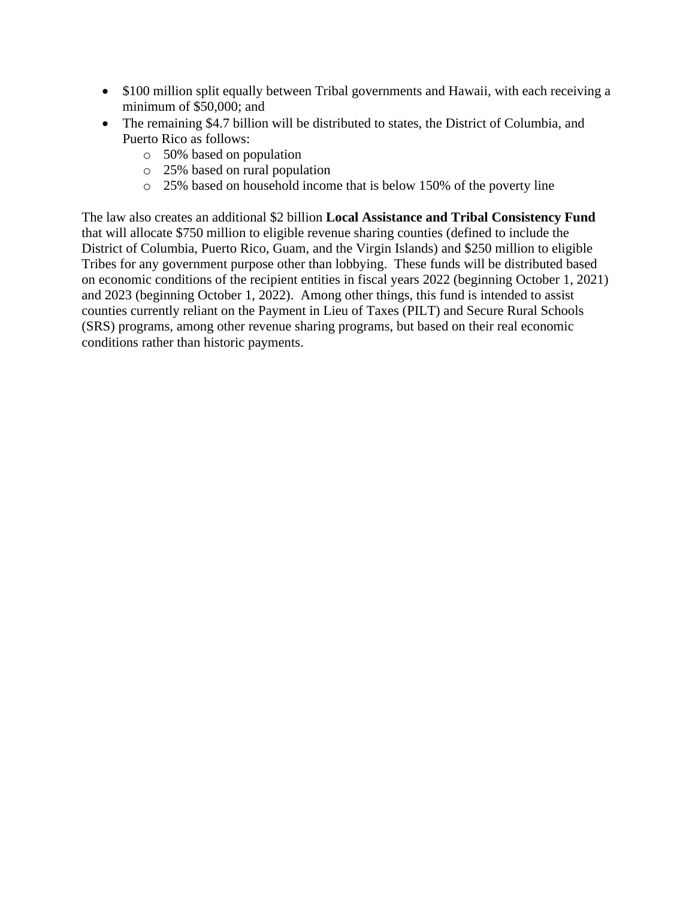- \$100 million split equally between Tribal governments and Hawaii, with each receiving a minimum of \$50,000; and
- The remaining \$4.7 billion will be distributed to states, the District of Columbia, and Puerto Rico as follows:
	- o 50% based on population
	- o 25% based on rural population
	- o 25% based on household income that is below 150% of the poverty line

The law also creates an additional \$2 billion **Local Assistance and Tribal Consistency Fund** that will allocate \$750 million to eligible revenue sharing counties (defined to include the District of Columbia, Puerto Rico, Guam, and the Virgin Islands) and \$250 million to eligible Tribes for any government purpose other than lobbying. These funds will be distributed based on economic conditions of the recipient entities in fiscal years 2022 (beginning October 1, 2021) and 2023 (beginning October 1, 2022). Among other things, this fund is intended to assist counties currently reliant on the Payment in Lieu of Taxes (PILT) and Secure Rural Schools (SRS) programs, among other revenue sharing programs, but based on their real economic conditions rather than historic payments.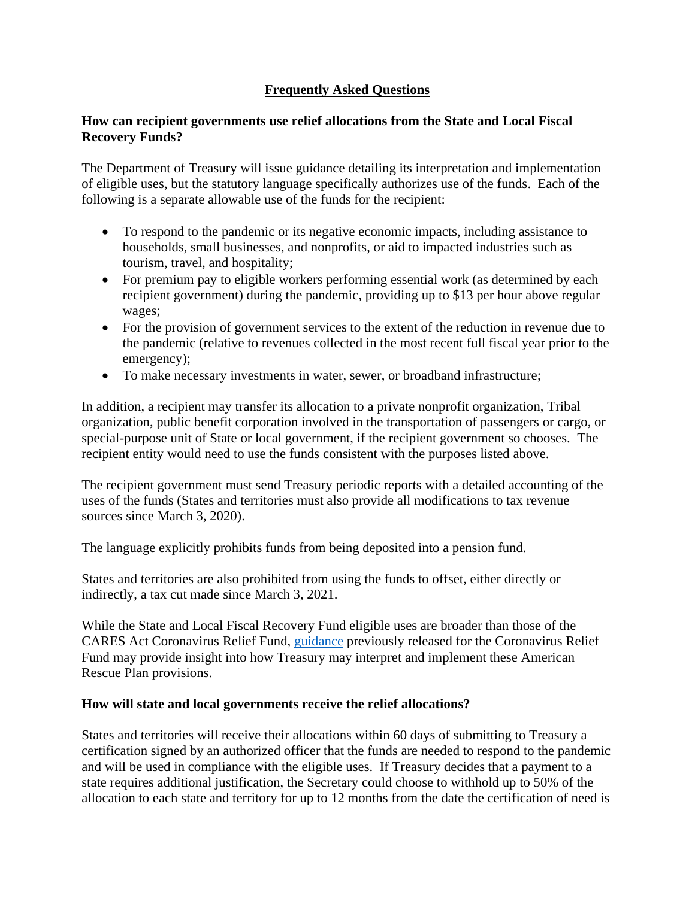## **Frequently Asked Questions**

#### **How can recipient governments use relief allocations from the State and Local Fiscal Recovery Funds?**

The Department of Treasury will issue guidance detailing its interpretation and implementation of eligible uses, but the statutory language specifically authorizes use of the funds. Each of the following is a separate allowable use of the funds for the recipient:

- To respond to the pandemic or its negative economic impacts, including assistance to households, small businesses, and nonprofits, or aid to impacted industries such as tourism, travel, and hospitality;
- For premium pay to eligible workers performing essential work (as determined by each recipient government) during the pandemic, providing up to \$13 per hour above regular wages;
- For the provision of government services to the extent of the reduction in revenue due to the pandemic (relative to revenues collected in the most recent full fiscal year prior to the emergency);
- To make necessary investments in water, sewer, or broadband infrastructure;

In addition, a recipient may transfer its allocation to a private nonprofit organization, Tribal organization, public benefit corporation involved in the transportation of passengers or cargo, or special-purpose unit of State or local government, if the recipient government so chooses. The recipient entity would need to use the funds consistent with the purposes listed above.

The recipient government must send Treasury periodic reports with a detailed accounting of the uses of the funds (States and territories must also provide all modifications to tax revenue sources since March 3, 2020).

The language explicitly prohibits funds from being deposited into a pension fund.

States and territories are also prohibited from using the funds to offset, either directly or indirectly, a tax cut made since March 3, 2021.

While the State and Local Fiscal Recovery Fund eligible uses are broader than those of the CARES Act Coronavirus Relief Fund, [guidance](https://home.treasury.gov/system/files/136/CRF-Guidance-Federal-Register_2021-00827.pdf) previously released for the Coronavirus Relief Fund may provide insight into how Treasury may interpret and implement these American Rescue Plan provisions.

#### **How will state and local governments receive the relief allocations?**

States and territories will receive their allocations within 60 days of submitting to Treasury a certification signed by an authorized officer that the funds are needed to respond to the pandemic and will be used in compliance with the eligible uses. If Treasury decides that a payment to a state requires additional justification, the Secretary could choose to withhold up to 50% of the allocation to each state and territory for up to 12 months from the date the certification of need is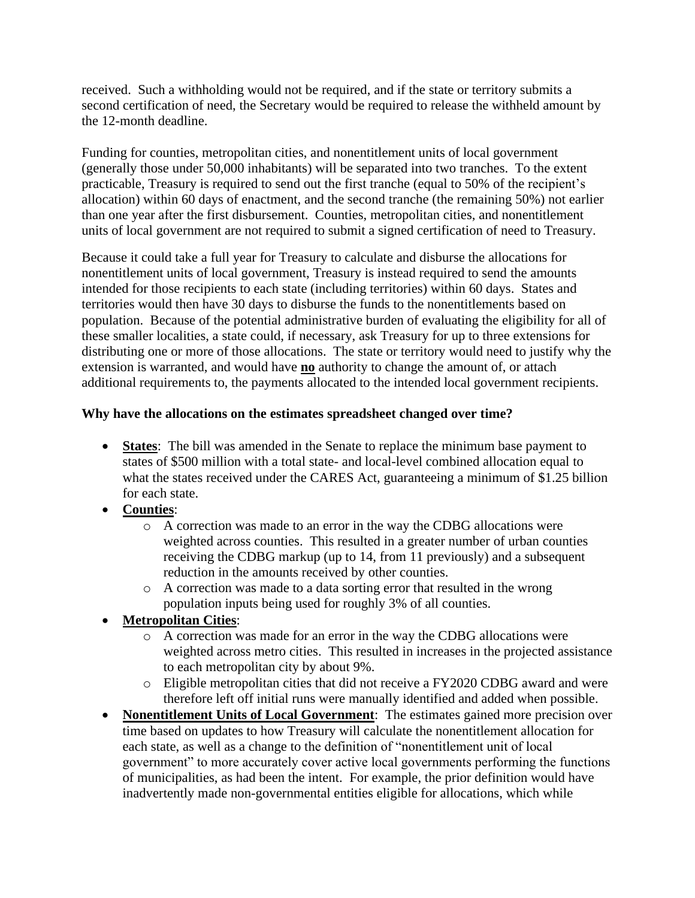received. Such a withholding would not be required, and if the state or territory submits a second certification of need, the Secretary would be required to release the withheld amount by the 12-month deadline.

Funding for counties, metropolitan cities, and nonentitlement units of local government (generally those under 50,000 inhabitants) will be separated into two tranches. To the extent practicable, Treasury is required to send out the first tranche (equal to 50% of the recipient's allocation) within 60 days of enactment, and the second tranche (the remaining 50%) not earlier than one year after the first disbursement. Counties, metropolitan cities, and nonentitlement units of local government are not required to submit a signed certification of need to Treasury.

Because it could take a full year for Treasury to calculate and disburse the allocations for nonentitlement units of local government, Treasury is instead required to send the amounts intended for those recipients to each state (including territories) within 60 days. States and territories would then have 30 days to disburse the funds to the nonentitlements based on population. Because of the potential administrative burden of evaluating the eligibility for all of these smaller localities, a state could, if necessary, ask Treasury for up to three extensions for distributing one or more of those allocations. The state or territory would need to justify why the extension is warranted, and would have **no** authority to change the amount of, or attach additional requirements to, the payments allocated to the intended local government recipients.

#### **Why have the allocations on the estimates spreadsheet changed over time?**

- **States**: The bill was amended in the Senate to replace the minimum base payment to states of \$500 million with a total state- and local-level combined allocation equal to what the states received under the CARES Act, guaranteeing a minimum of \$1.25 billion for each state.
- **Counties**:
	- o A correction was made to an error in the way the CDBG allocations were weighted across counties. This resulted in a greater number of urban counties receiving the CDBG markup (up to 14, from 11 previously) and a subsequent reduction in the amounts received by other counties.
	- o A correction was made to a data sorting error that resulted in the wrong population inputs being used for roughly 3% of all counties.
- **Metropolitan Cities**:
	- o A correction was made for an error in the way the CDBG allocations were weighted across metro cities. This resulted in increases in the projected assistance to each metropolitan city by about 9%.
	- o Eligible metropolitan cities that did not receive a FY2020 CDBG award and were therefore left off initial runs were manually identified and added when possible.
- **Nonentitlement Units of Local Government**: The estimates gained more precision over time based on updates to how Treasury will calculate the nonentitlement allocation for each state, as well as a change to the definition of "nonentitlement unit of local government" to more accurately cover active local governments performing the functions of municipalities, as had been the intent. For example, the prior definition would have inadvertently made non-governmental entities eligible for allocations, which while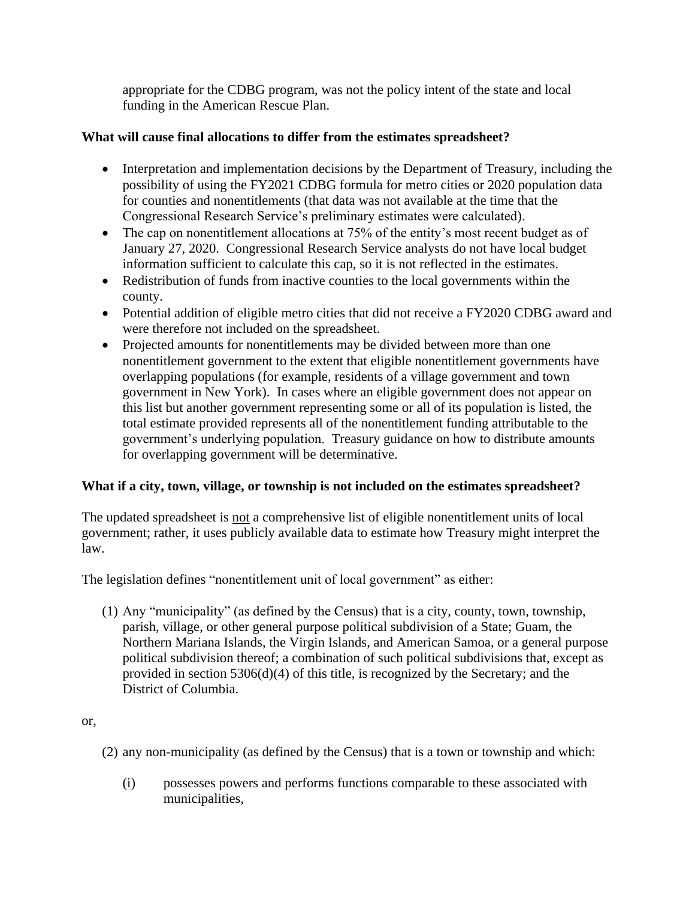appropriate for the CDBG program, was not the policy intent of the state and local funding in the American Rescue Plan.

## **What will cause final allocations to differ from the estimates spreadsheet?**

- Interpretation and implementation decisions by the Department of Treasury, including the possibility of using the FY2021 CDBG formula for metro cities or 2020 population data for counties and nonentitlements (that data was not available at the time that the Congressional Research Service's preliminary estimates were calculated).
- The cap on nonentitlement allocations at 75% of the entity's most recent budget as of January 27, 2020. Congressional Research Service analysts do not have local budget information sufficient to calculate this cap, so it is not reflected in the estimates.
- Redistribution of funds from inactive counties to the local governments within the county.
- Potential addition of eligible metro cities that did not receive a FY2020 CDBG award and were therefore not included on the spreadsheet.
- Projected amounts for nonentitlements may be divided between more than one nonentitlement government to the extent that eligible nonentitlement governments have overlapping populations (for example, residents of a village government and town government in New York). In cases where an eligible government does not appear on this list but another government representing some or all of its population is listed, the total estimate provided represents all of the nonentitlement funding attributable to the government's underlying population. Treasury guidance on how to distribute amounts for overlapping government will be determinative.

## **What if a city, town, village, or township is not included on the estimates spreadsheet?**

The updated spreadsheet is not a comprehensive list of eligible nonentitlement units of local government; rather, it uses publicly available data to estimate how Treasury might interpret the law.

The legislation defines "nonentitlement unit of local government" as either:

(1) Any "municipality" (as defined by the Census) that is a city, county, town, township, parish, village, or other general purpose political subdivision of a State; Guam, the Northern Mariana Islands, the Virgin Islands, and American Samoa, or a general purpose political subdivision thereof; a combination of such political subdivisions that, except as provided in section 5306(d)(4) of this title, is recognized by the Secretary; and the District of Columbia.

### or,

(2) any non-municipality (as defined by the Census) that is a town or township and which:

(i) possesses powers and performs functions comparable to these associated with municipalities,